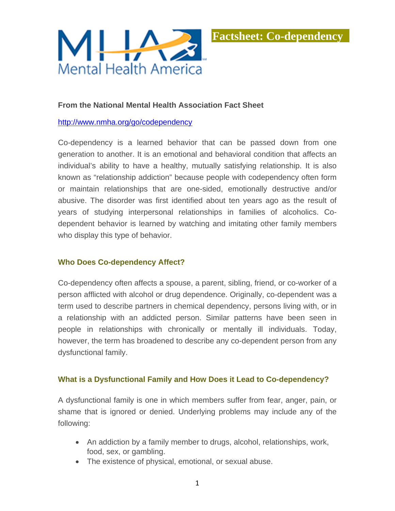

## **From the National Mental Health Association Fact Sheet**

### http://www.nmha.org/go/codependency

Co-dependency is a learned behavior that can be passed down from one generation to another. It is an emotional and behavioral condition that affects an individual's ability to have a healthy, mutually satisfying relationship. It is also known as "relationship addiction" because people with codependency often form or maintain relationships that are one-sided, emotionally destructive and/or abusive. The disorder was first identified about ten years ago as the result of years of studying interpersonal relationships in families of alcoholics. Codependent behavior is learned by watching and imitating other family members who display this type of behavior.

### **Who Does Co-dependency Affect?**

Co-dependency often affects a spouse, a parent, sibling, friend, or co-worker of a person afflicted with alcohol or drug dependence. Originally, co-dependent was a term used to describe partners in chemical dependency, persons living with, or in a relationship with an addicted person. Similar patterns have been seen in people in relationships with chronically or mentally ill individuals. Today, however, the term has broadened to describe any co-dependent person from any dysfunctional family.

### **What is a Dysfunctional Family and How Does it Lead to Co-dependency?**

A dysfunctional family is one in which members suffer from fear, anger, pain, or shame that is ignored or denied. Underlying problems may include any of the following:

- An addiction by a family member to drugs, alcohol, relationships, work, food, sex, or gambling.
- The existence of physical, emotional, or sexual abuse.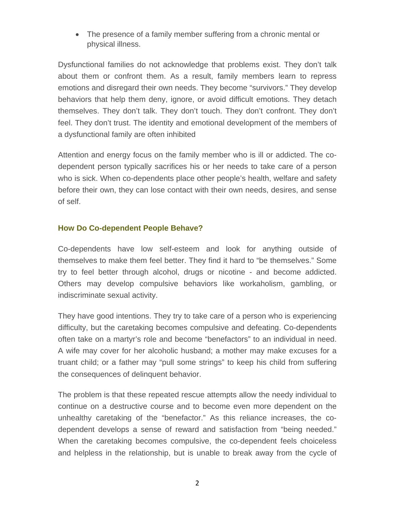• The presence of a family member suffering from a chronic mental or physical illness.

Dysfunctional families do not acknowledge that problems exist. They don't talk about them or confront them. As a result, family members learn to repress emotions and disregard their own needs. They become "survivors." They develop behaviors that help them deny, ignore, or avoid difficult emotions. They detach themselves. They don't talk. They don't touch. They don't confront. They don't feel. They don't trust. The identity and emotional development of the members of a dysfunctional family are often inhibited

Attention and energy focus on the family member who is ill or addicted. The codependent person typically sacrifices his or her needs to take care of a person who is sick. When co-dependents place other people's health, welfare and safety before their own, they can lose contact with their own needs, desires, and sense of self.

# **How Do Co-dependent People Behave?**

Co-dependents have low self-esteem and look for anything outside of themselves to make them feel better. They find it hard to "be themselves." Some try to feel better through alcohol, drugs or nicotine - and become addicted. Others may develop compulsive behaviors like workaholism, gambling, or indiscriminate sexual activity.

They have good intentions. They try to take care of a person who is experiencing difficulty, but the caretaking becomes compulsive and defeating. Co-dependents often take on a martyr's role and become "benefactors" to an individual in need. A wife may cover for her alcoholic husband; a mother may make excuses for a truant child; or a father may "pull some strings" to keep his child from suffering the consequences of delinquent behavior.

The problem is that these repeated rescue attempts allow the needy individual to continue on a destructive course and to become even more dependent on the unhealthy caretaking of the "benefactor." As this reliance increases, the codependent develops a sense of reward and satisfaction from "being needed." When the caretaking becomes compulsive, the co-dependent feels choiceless and helpless in the relationship, but is unable to break away from the cycle of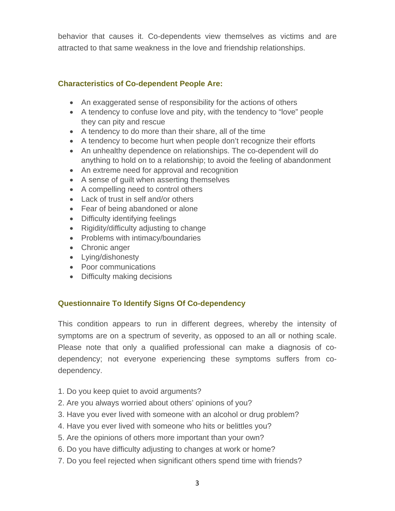behavior that causes it. Co-dependents view themselves as victims and are attracted to that same weakness in the love and friendship relationships.

# **Characteristics of Co-dependent People Are:**

- An exaggerated sense of responsibility for the actions of others
- A tendency to confuse love and pity, with the tendency to "love" people they can pity and rescue
- A tendency to do more than their share, all of the time
- A tendency to become hurt when people don't recognize their efforts
- An unhealthy dependence on relationships. The co-dependent will do anything to hold on to a relationship; to avoid the feeling of abandonment
- An extreme need for approval and recognition
- A sense of guilt when asserting themselves
- A compelling need to control others
- Lack of trust in self and/or others
- Fear of being abandoned or alone
- Difficulty identifying feelings
- Rigidity/difficulty adjusting to change
- Problems with intimacy/boundaries
- Chronic anger
- Lying/dishonesty
- Poor communications
- Difficulty making decisions

# **Questionnaire To Identify Signs Of Co-dependency**

This condition appears to run in different degrees, whereby the intensity of symptoms are on a spectrum of severity, as opposed to an all or nothing scale. Please note that only a qualified professional can make a diagnosis of codependency; not everyone experiencing these symptoms suffers from codependency.

- 1. Do you keep quiet to avoid arguments?
- 2. Are you always worried about others' opinions of you?
- 3. Have you ever lived with someone with an alcohol or drug problem?
- 4. Have you ever lived with someone who hits or belittles you?
- 5. Are the opinions of others more important than your own?
- 6. Do you have difficulty adjusting to changes at work or home?
- 7. Do you feel rejected when significant others spend time with friends?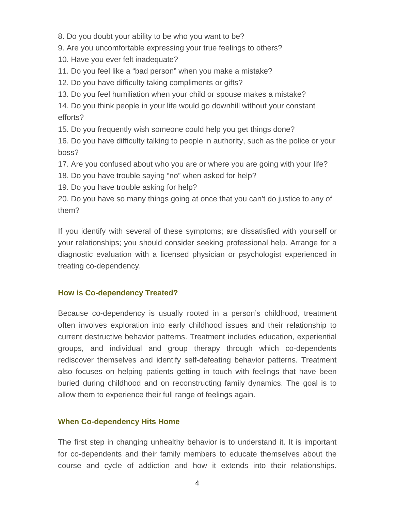- 8. Do you doubt your ability to be who you want to be?
- 9. Are you uncomfortable expressing your true feelings to others?
- 10. Have you ever felt inadequate?
- 11. Do you feel like a "bad person" when you make a mistake?
- 12. Do you have difficulty taking compliments or gifts?
- 13. Do you feel humiliation when your child or spouse makes a mistake?

14. Do you think people in your life would go downhill without your constant efforts?

15. Do you frequently wish someone could help you get things done?

16. Do you have difficulty talking to people in authority, such as the police or your boss?

17. Are you confused about who you are or where you are going with your life?

- 18. Do you have trouble saying "no" when asked for help?
- 19. Do you have trouble asking for help?

20. Do you have so many things going at once that you can't do justice to any of them?

If you identify with several of these symptoms; are dissatisfied with yourself or your relationships; you should consider seeking professional help. Arrange for a diagnostic evaluation with a licensed physician or psychologist experienced in treating co-dependency.

# **How is Co-dependency Treated?**

Because co-dependency is usually rooted in a person's childhood, treatment often involves exploration into early childhood issues and their relationship to current destructive behavior patterns. Treatment includes education, experiential groups, and individual and group therapy through which co-dependents rediscover themselves and identify self-defeating behavior patterns. Treatment also focuses on helping patients getting in touch with feelings that have been buried during childhood and on reconstructing family dynamics. The goal is to allow them to experience their full range of feelings again.

# **When Co-dependency Hits Home**

The first step in changing unhealthy behavior is to understand it. It is important for co-dependents and their family members to educate themselves about the course and cycle of addiction and how it extends into their relationships.